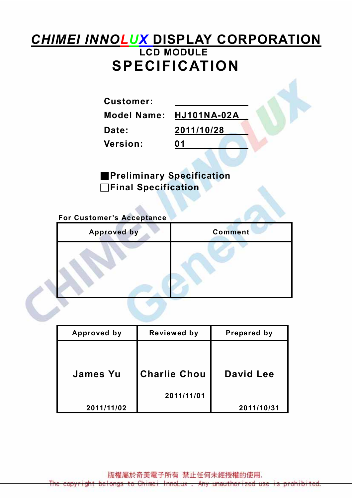# **CHIMEI INNOLUX DISPLAY CORPORATION** LCD MODULE SPECIFICATION

Customer:

Model Name: HJ101NA-02A

Date: 2011/10/28

Version: 01

■Preliminary Specification □Final Specification

For Customer's Acceptance

| <b>Approved by</b> | <b>Comment</b> |
|--------------------|----------------|
|                    |                |

| Approved by     | Reviewed by         | Prepared by |
|-----------------|---------------------|-------------|
|                 |                     |             |
| <b>James Yu</b> | <b>Charlie Chou</b> | David Lee   |
|                 | 2011/11/01          |             |
| 2011/11/02      |                     | 2011/10/31  |

版權屬於奇美電子所有 禁止任何未經授權的使用. The copyright belongs to Chimei InnoLux . Any unauthorized use is prohibited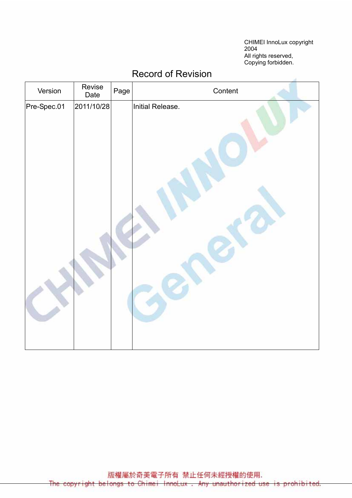CHIMEI InnoLux copyright 2004 All rights reserved, Copying forbidden.

| Version     | Revise<br>Date | Page | Content          |
|-------------|----------------|------|------------------|
| Pre-Spec.01 | 2011/10/28     |      | Initial Release. |
|             |                |      |                  |

#### Record of Revision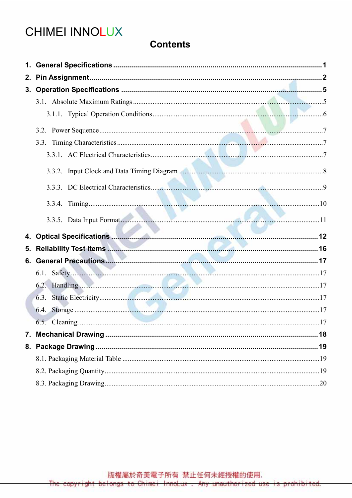# **CHIMEI INNOLUX**

#### **Contents**

|    | 3.3.5. Data Input Format 11 |  |
|----|-----------------------------|--|
|    |                             |  |
| 5. | Reliability Test Items      |  |
|    |                             |  |
|    |                             |  |
|    |                             |  |
|    |                             |  |
|    |                             |  |
|    |                             |  |
|    |                             |  |
|    |                             |  |
|    |                             |  |
|    |                             |  |
|    |                             |  |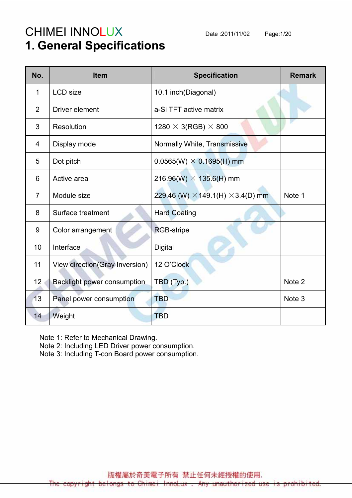# CHIMEI INNOLUX Date :2011/11/02 Page:1/20 1. General Specifications

| No.            | <b>Item</b>                     | <b>Specification</b>                            | <b>Remark</b> |
|----------------|---------------------------------|-------------------------------------------------|---------------|
| 1              | <b>LCD</b> size                 | 10.1 inch(Diagonal)                             |               |
| $\overline{2}$ | Driver element                  | a-Si TFT active matrix                          |               |
| 3              | Resolution                      | 1280 $\times$ 3(RGB) $\times$ 800               |               |
| 4              | Display mode                    | Normally White, Transmissive                    |               |
| 5              | Dot pitch                       | $0.0565(W) \times 0.1695(H)$ mm                 |               |
| 6              | Active area                     | 216.96(W) $\times$ 135.6(H) mm                  |               |
| $\overline{7}$ | Module size                     | 229.46 (W) $\times$ 149.1(H) $\times$ 3.4(D) mm | Note 1        |
| 8              | Surface treatment               | <b>Hard Coating</b>                             |               |
| 9              | Color arrangement               | <b>RGB-stripe</b>                               |               |
| 10             | Interface                       | <b>Digital</b>                                  |               |
| 11             | View direction (Gray Inversion) | 12 O'Clock                                      |               |
| 12             | Backlight power consumption     | TBD (Typ.)                                      | Note 2        |
| 13             | Panel power consumption         | <b>TBD</b>                                      | Note 3        |
| 14             | Weight                          | <b>TBD</b>                                      |               |

Note 1: Refer to Mechanical Drawing.

Note 2: Including LED Driver power consumption.

Note 3: Including T-con Board power consumption.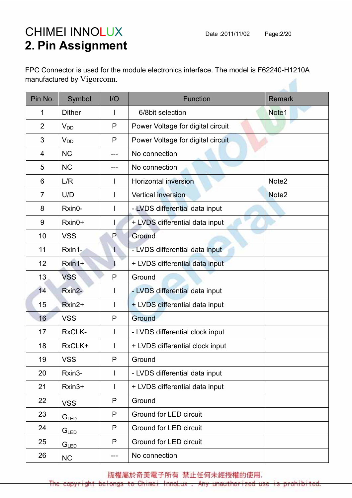# CHIMEI INNOLUX Date :2011/11/02 Page:2/20 2. Pin Assignment

FPC Connector is used for the module electronics interface. The model is F62240-H1210A manufactured by Vigorconn.

| Pin No.        | Symbol           | $II$         | <b>Function</b>                   | <b>Remark</b>     |
|----------------|------------------|--------------|-----------------------------------|-------------------|
| 1              | <b>Dither</b>    | L            | 6/8bit selection                  | Note <sub>1</sub> |
| $\overline{2}$ | $V_{DD}$         | P            | Power Voltage for digital circuit |                   |
| 3              | $V_{DD}$         | P            | Power Voltage for digital circuit |                   |
| 4              | <b>NC</b>        | ---          | No connection                     |                   |
| 5              | <b>NC</b>        | ---          | No connection                     |                   |
| 6              | L/R              | $\mathbf{I}$ | <b>Horizontal inversion</b>       | Note <sub>2</sub> |
| $\overline{7}$ | U/D              |              | <b>Vertical inversion</b>         | Note <sub>2</sub> |
| 8              | Rxin0-           |              | - LVDS differential data input    |                   |
| 9              | Rxin0+           |              | + LVDS differential data input    |                   |
| 10             | <b>VSS</b>       | P            | Ground                            |                   |
| 11             | Rxin1-           | $\mathsf{I}$ | - LVDS differential data input    |                   |
| 12             | $Rxin1+$         |              | + LVDS differential data input    |                   |
| 13             | <b>VSS</b>       | P            | Ground                            |                   |
| 14             | Rxin2-           | $\mathbf{I}$ | - LVDS differential data input    |                   |
| 15             | Rxin2+           |              | + LVDS differential data input    |                   |
| 16             | <b>VSS</b>       | P            | Ground                            |                   |
| 17             | RxCLK-           |              | - LVDS differential clock input   |                   |
| 18             | RxCLK+           |              | + LVDS differential clock input   |                   |
| 19             | <b>VSS</b>       | P            | Ground                            |                   |
| 20             | Rxin3-           | $\mathbf{I}$ | - LVDS differential data input    |                   |
| 21             | Rxin3+           | $\mathbf{I}$ | + LVDS differential data input    |                   |
| 22             | <b>VSS</b>       | P            | Ground                            |                   |
| 23             | G <sub>LED</sub> | P            | <b>Ground for LED circuit</b>     |                   |
| 24             | G <sub>LED</sub> | P            | <b>Ground for LED circuit</b>     |                   |
| 25             | G <sub>LED</sub> | P            | Ground for LED circuit            |                   |
| 26             | NC               | ---          | No connection                     |                   |

版權屬於奇美電子所有 禁止任何未經授權的使用.

The copyright belongs to Chimei InnoLux. Any unauthorized use is prohibited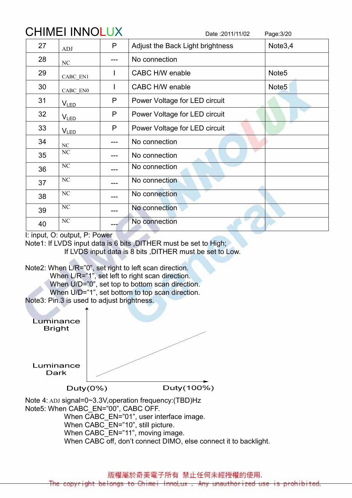| <b>CHIMEI INNOLUX</b> |                |     | Date: 2011/11/02<br>Page: 3/20   |                     |  |  |  |
|-----------------------|----------------|-----|----------------------------------|---------------------|--|--|--|
| 27                    | <b>ADJ</b>     | P   | Adjust the Back Light brightness | Note <sub>3,4</sub> |  |  |  |
| 28                    | NC             |     | No connection                    |                     |  |  |  |
| 29                    | CABC EN1       |     | CABC H/W enable                  | Note <sub>5</sub>   |  |  |  |
| 30                    | CABC EN0       | L   | CABC H/W enable                  | Note <sub>5</sub>   |  |  |  |
| 31                    | $V_{LED}$      | P   | Power Voltage for LED circuit    |                     |  |  |  |
| 32                    | <b>VLED</b>    | P   | Power Voltage for LED circuit    |                     |  |  |  |
| 33                    | <b>VLED</b>    | P   | Power Voltage for LED circuit    |                     |  |  |  |
| 34                    | NC             | --- | No connection                    |                     |  |  |  |
| 35                    | NC             |     | No connection                    |                     |  |  |  |
| 36                    | NC             |     | No connection                    |                     |  |  |  |
| 37                    | NC             |     | No connection                    |                     |  |  |  |
| 38                    | NC             |     | No connection                    |                     |  |  |  |
| 39                    | NC             |     | No connection                    |                     |  |  |  |
| 40                    | N <sub>C</sub> |     | No connection                    |                     |  |  |  |

I: input, O: output, P: Power

Note1: If LVDS input data is 6 bits ,DITHER must be set to High; If LVDS input data is 8 bits ,DITHER must be set to Low.

Note2: When L/R="0", set right to left scan direction.

When L/R="1", set left to right scan direction.

When U/D="0", set top to bottom scan direction.

When U/D="1", set bottom to top scan direction.

Note3: Pin.3 is used to adjust brightness.



When CABC EN="01", user interface image. When CABC\_EN="10", still picture. When CABC<sup>-</sup>EN="11", moving image. When CABC off, don't connect DIMO, else connect it to backlight.

版權屬於奇美電子所有 禁止任何未經授權的使用.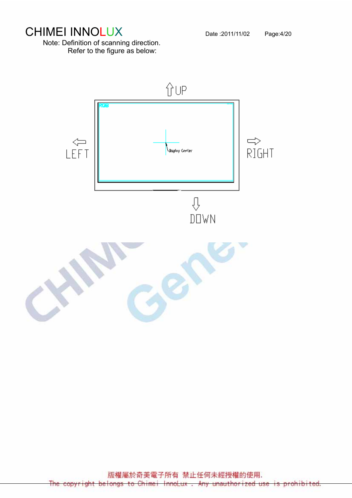# CHIMEI INNOLUX Date :2011/11/02 Page:4/20

Note: Definition of scanning direction. Refer to the figure as below:



版權屬於奇美電子所有 禁止任何未經授權的使用. The copyright belongs to Chimei InnoLux. Any unauthorized use D.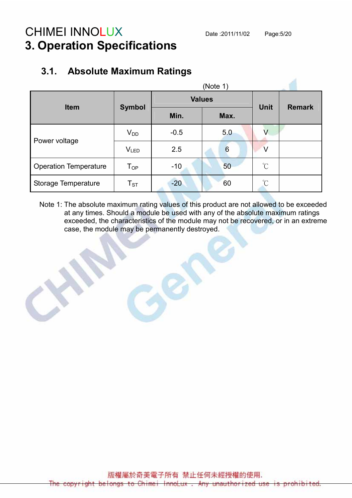### CHIMEI INNOLUX Date :2011/11/02 Page:5/20 3. Operation Specifications

#### (Note 1) Values Item Symbol Min. Max. Unit Remark  $V_{DD}$   $-0.5$   $5.0$  V Power voltage  $V_{LED}$  2.5 6 V Operation Temperature  $T_{OP}$  -10  $\sim$  50  $\degree$ Storage Temperature T<sub>ST</sub> -20 60 ℃

#### 3.1. Absolute Maximum Ratings

Note 1: The absolute maximum rating values of this product are not allowed to be exceeded at any times. Should a module be used with any of the absolute maximum ratings exceeded, the characteristics of the module may not be recovered, or in an extreme case, the module may be permanently destroyed.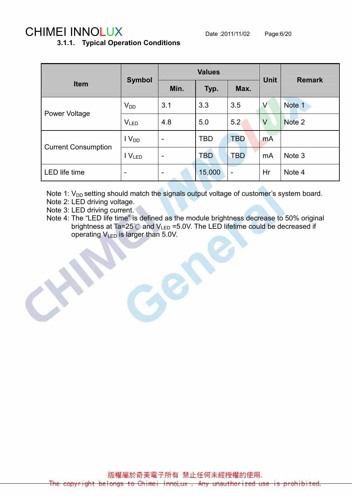## CHIMEI INNOLUX Date :2011/11/02 Page:6/20

#### 3.1.1. Typical Operation Conditions

|                            | <b>Symbol</b>            |                          | <b>Values</b> | <b>Unit</b>              | <b>Remark</b> |        |
|----------------------------|--------------------------|--------------------------|---------------|--------------------------|---------------|--------|
| <b>Item</b>                |                          | Min.                     | Typ.          | Max.                     |               |        |
| <b>Power Voltage</b>       | $V_{DD}$                 | 3.1                      | 3.3           | 3.5                      | V             | Note 1 |
|                            | <b>VLED</b>              | 4.8                      | 5.0           | 5.2                      | $\vee$        | Note 2 |
| <b>Current Consumption</b> | $IV_{DD}$                | $\overline{\phantom{a}}$ | <b>TBD</b>    | <b>TBD</b>               | mA            |        |
|                            | IV <sub>LED</sub>        | $\overline{\phantom{a}}$ | <b>TBD</b>    | <b>TBD</b>               | mA            | Note 3 |
| LED life time              | $\overline{\phantom{0}}$ | $\overline{\phantom{a}}$ | 15,000        | $\overline{\phantom{0}}$ | Hr            | Note 4 |

Note 1:  $V_{DD}$  setting should match the signals output voltage of customer's system board.

- Note 2: LED driving voltage.
- Note 3: LED driving current.
- Note 4: The "LED life time" is defined as the module brightness decrease to 50% original brightness at Ta=25 $\degree$ C and  $V_{LED}$  =5.0V. The LED lifetime could be decreased if operating  $V_{LED}$  is larger than 5.0V.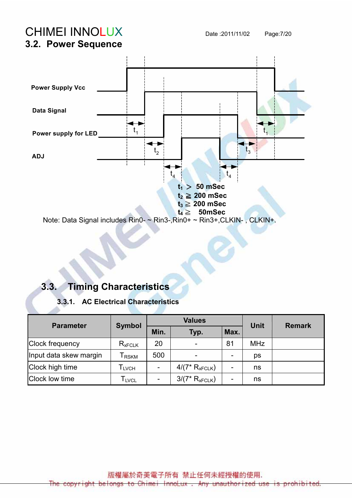CHIMEI INNOLUX Date :2011/11/02 Page:7/20



#### 3.3. Timing Characteristics

#### 3.3.1. AC Electrical Characteristics

| <b>Parameter</b>       | <b>Symbol</b>                |      | <b>Values</b>            | Unit | <b>Remark</b> |  |
|------------------------|------------------------------|------|--------------------------|------|---------------|--|
|                        |                              | Min. | Typ.                     | Max. |               |  |
| Clock frequency        | $R_{xFCLK}$                  | 20   | $\overline{\phantom{a}}$ | 81   | <b>MHz</b>    |  |
| Input data skew margin | <b>RSKM</b>                  | 500  | -                        | -    | ps            |  |
| Clock high time        | $\mathsf{T}_{\mathsf{LVCH}}$ |      | $4/(7*R_{xFCLK})$        | -    | ns            |  |
| Clock low time         | l <sub>LVCL</sub>            |      | $3/(7*R_{xFCLK})$        | -    | ns            |  |

版權屬於奇美電子所有 禁止任何未經授權的使用.

The copyright belongs to Chimei InnoLux . Any unauthorized use is prohibited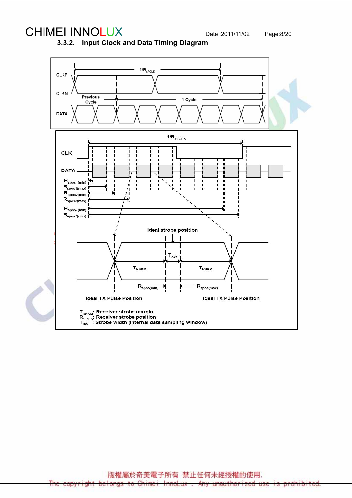## CHIMEI INNOLUX Date :2011/11/02 Page:8/20

3.3.2. Input Clock and Data Timing Diagram



版權屬於奇美電子所有 禁止任何未經授權的使用. The copyright belongs to Chimei InnoLux. Any unauthorized use is prohibited.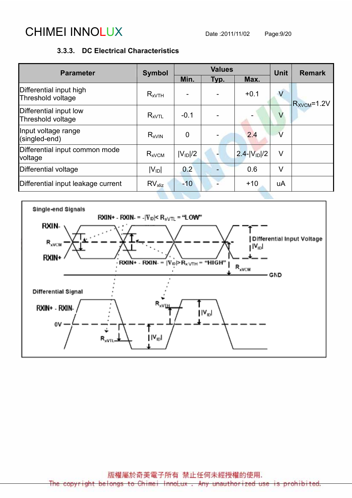# CHIMEI INNOLUX Date :2011/11/02 Page:9/20

#### 3.3.3. DC Electrical Characteristics

| <b>Parameter</b>                             | <b>Symbol</b>         |                | <b>Values</b> | <b>Unit</b>        | <b>Remark</b>  |                  |
|----------------------------------------------|-----------------------|----------------|---------------|--------------------|----------------|------------------|
|                                              |                       | Min.           | Typ.          | Max.               |                |                  |
| Differential input high<br>Threshold voltage | $R_{xVTH}$            |                |               | $+0.1$             | $\overline{V}$ | $R_{XVCM}$ =1.2V |
| Differential input low<br>Threshold voltage  | $R_{xVTL}$            | $-0.1$         |               |                    | $\vee$         |                  |
| Input voltage range<br>(singled-end)         | $R_{xV}$ <sub>N</sub> | $\overline{0}$ |               | 2.4                | $\vee$         |                  |
| Differential input common mode<br>voltage    | $R_{xVCM}$            | $ V_{ID} /2$   |               | $2.4 -  V_{1D} /2$ | V              |                  |
| Differential voltage                         | $ V_{ID} $            | 0.2            |               | 0.6                | V              |                  |
| Differential input leakage current           | RV <sub>x</sub>       | $-10$          |               | $+10$              | uA             |                  |

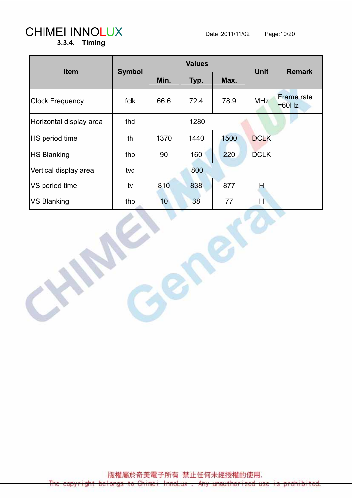# CHIMEI INNOLUX Date :2011/11/02 Page:10/20

3.3.4. Timing

| <b>Item</b>             |               |      | <b>Values</b> |      | <b>Remark</b> |                               |
|-------------------------|---------------|------|---------------|------|---------------|-------------------------------|
|                         | <b>Symbol</b> | Min. | Typ.          |      | <b>Unit</b>   |                               |
| <b>Clock Frequency</b>  | fclk          | 66.6 | 72.4          | 78.9 | <b>MHz</b>    | <b>Frame</b> rate<br>$=60$ Hz |
| Horizontal display area | thd           |      | 1280          |      |               |                               |
| <b>HS</b> period time   | th            | 1370 | 1440          | 1500 | <b>DCLK</b>   |                               |
| <b>HS Blanking</b>      | thb           | 90   | 160           | 220  | <b>DCLK</b>   |                               |
| Vertical display area   | tvd           |      | 800           |      |               |                               |
| VS period time          | tv            | 810  | 838           | 877  | Н             |                               |
| <b>VS Blanking</b>      | thb           | 10   | 38            | 77   | H             |                               |

版權屬於奇美電子所有 禁止任何未經授權的使用. The copyright belongs to Chimei InnoLux. Any unauthorized use is prohibited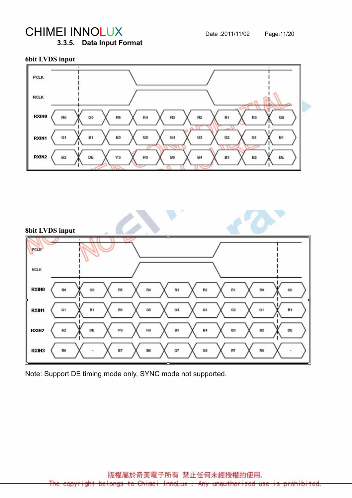# CHIMEI INNOLUX Date :2011/11/02 Page:11/20

3.3.5. Data Input Format

#### 6bit LVDS input





Note: Support DE timing mode only, SYNC mode not supported.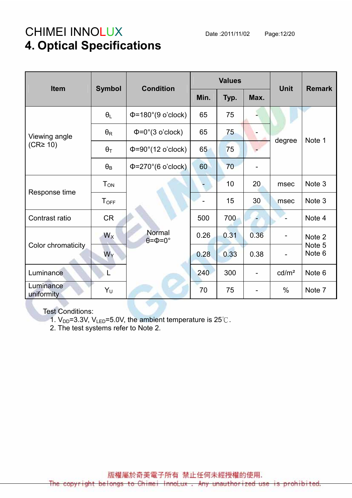# CHIMEI INNOLUX Date :2011/11/02 Page:12/20 4. Optical Specifications

| Item                            | <b>Symbol</b>          | <b>Condition</b>                       |      | <b>Values</b> | <b>Unit</b>              | <b>Remark</b>            |                  |
|---------------------------------|------------------------|----------------------------------------|------|---------------|--------------------------|--------------------------|------------------|
|                                 |                        |                                        | Min. | Typ.          | Max.                     |                          |                  |
|                                 | $\theta_L$             | $\Phi$ =180°(9 o'clock)                | 65   | 75            |                          |                          |                  |
| Viewing angle<br>$(CR \geq 10)$ | $\theta_{\mathsf{R}}$  | $\Phi = 0^\circ (3 \text{ o'clock})$   | 65   | 75            |                          | degree                   |                  |
|                                 | $\theta_T$             | $\Phi = 90^\circ (12 \text{ o'clock})$ | 65   | 75            |                          |                          | Note 1           |
|                                 | $\theta_{\text{B}}$    | $\Phi$ =270°(6 o'clock)                | 60   | 70            |                          |                          |                  |
| Response time                   | <b>T</b> <sub>ON</sub> |                                        |      | 10            | 20                       | msec                     | Note 3           |
|                                 | $T_{\text{OFF}}$       |                                        |      | 15            | 30                       | msec                     | Note 3           |
| Contrast ratio                  | <b>CR</b>              |                                        | 500  | 700           |                          |                          | Note 4           |
|                                 | $W_X$                  | Normal<br>$\theta = \Phi = 0^\circ$    | 0.26 | 0.31          | 0.36                     | $\overline{\phantom{a}}$ | Note 2           |
| Color chromaticity              | $W_Y$                  |                                        | 0.28 | 0.33          | 0.38                     | $\overline{\phantom{a}}$ | Note 5<br>Note 6 |
| Luminance                       |                        |                                        | 240  | 300           | $\overline{\phantom{0}}$ | cd/m <sup>2</sup>        | Note 6           |
| Luminance<br>uniformity         | Υ <sub>υ</sub>         |                                        | 70   | 75            |                          | $\%$                     | Note 7           |

Test Conditions:

1.  $V_{DD}$ =3.3V,  $V_{LED}$ =5.0V, the ambient temperature is 25°C.

2. The test systems refer to Note 2.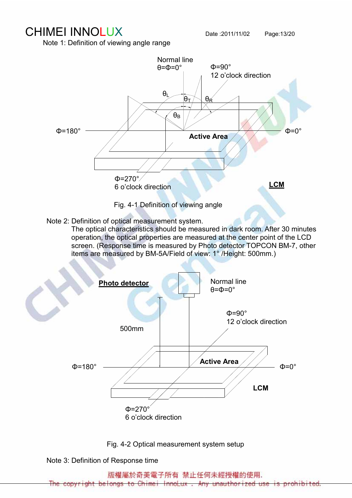### CHIMEI INNOLUX Date :2011/11/02 Page:13/20

Note 1: Definition of viewing angle range



Note 2: Definition of optical measurement system.

 The optical characteristics should be measured in dark room. After 30 minutes operation, the optical properties are measured at the center point of the LCD screen. (Response time is measured by Photo detector TOPCON BM-7, other items are measured by BM-5A/Field of view: 1° /Height: 500mm.)



Fig. 4-2 Optical measurement system setup

Note 3: Definition of Response time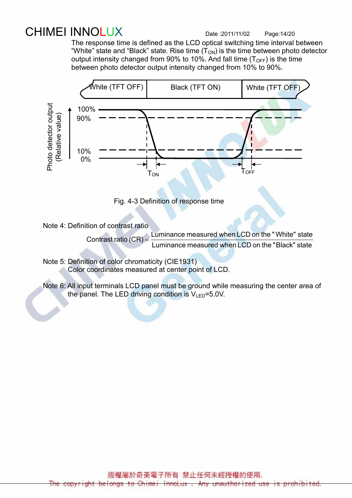# CHIMEI INNOLUX Date :2011/11/02 Page:14/20

 The response time is defined as the LCD optical switching time interval between "White" state and "Black" state. Rise time  $(T_{ON})$  is the time between photo detector output intensity changed from 90% to 10%. And fall time  $(T<sub>OFF</sub>)$  is the time between photo detector output intensity changed from 10% to 90%.





Note 4: Definition of contrast ratio

Contrast ratio  $(CR) = \frac{E}{L}$  Luminance measured when  $LCD$  on the "Black" state Luminance measured when LCD on the "White" state

 Note 5: Definition of color chromaticity (CIE1931) Color coordinates measured at center point of LCD.

 Note 6: All input terminals LCD panel must be ground while measuring the center area of the panel. The LED driving condition is  $V_{\text{LED}}$ =5.0V.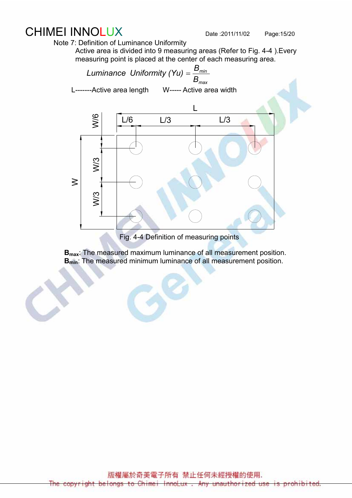### CHIMEI INNOLUX Date :2011/11/02 Page:15/20

Note 7: Definition of Luminance Uniformity

Active area is divided into 9 measuring areas (Refer to Fig. 4-4 ).Every measuring point is placed at the center of each measuring area.



Fig. 4-4 Definition of measuring points

**B**<sub>max</sub>: The measured maximum luminance of all measurement position. **B<sub>min</sub>**: The measured minimum luminance of all measurement position.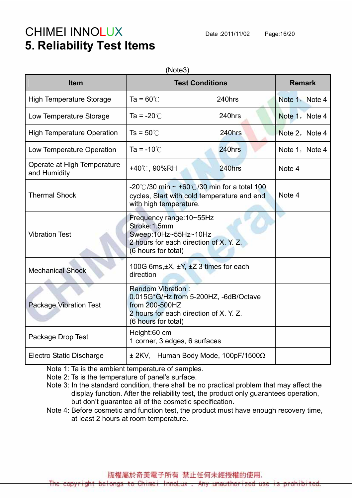# CHIMEI INNOLUX Date :2011/11/02 Page:16/20 5. Reliability Test Items

| <b>Item</b>                                 | <b>Test Conditions</b>                                                                                                                               |                                     | <b>Remark</b>  |  |
|---------------------------------------------|------------------------------------------------------------------------------------------------------------------------------------------------------|-------------------------------------|----------------|--|
| <b>High Temperature Storage</b>             | Ta = $60^{\circ}$ C                                                                                                                                  | 240hrs                              | Note 1, Note 4 |  |
| Low Temperature Storage                     | Ta = $-20^{\circ}$ C                                                                                                                                 | 240hrs                              | Note 1, Note 4 |  |
| <b>High Temperature Operation</b>           | $Ts = 50^{\circ}$                                                                                                                                    | 240hrs                              | Note 2, Note 4 |  |
| Low Temperature Operation                   | Ta = $-10^{\circ}$ C                                                                                                                                 | 240hrs                              | Note 1, Note 4 |  |
| Operate at High Temperature<br>and Humidity | +40℃, 90%RH                                                                                                                                          | 240hrs                              | Note 4         |  |
| <b>Thermal Shock</b>                        | -20°C/30 min $\sim$ +60°C/30 min for a total 100<br>cycles, Start with cold temperature and end<br>with high temperature.                            | Note 4                              |                |  |
| <b>Vibration Test</b>                       | Frequency range: 10~55Hz<br>Stroke: 1.5mm<br>Sweep:10Hz~55Hz~10Hz<br>2 hours for each direction of X. Y. Z.<br>(6 hours for total)                   |                                     |                |  |
| <b>Mechanical Shock</b>                     | 100G 6ms, ±X, ±Y, ±Z 3 times for each<br>direction                                                                                                   |                                     |                |  |
| <b>Package Vibration Test</b>               | <b>Random Vibration:</b><br>0.015G*G/Hz from 5-200HZ, -6dB/Octave<br>from 200-500HZ<br>2 hours for each direction of X. Y. Z.<br>(6 hours for total) |                                     |                |  |
| Package Drop Test                           | Height:60 cm<br>1 corner, 3 edges, 6 surfaces                                                                                                        |                                     |                |  |
| <b>Electro Static Discharge</b>             |                                                                                                                                                      | ± 2KV, Human Body Mode, 100pF/1500Ω |                |  |

Note 1: Ta is the ambient temperature of samples.

Note 2: Ts is the temperature of panel's surface.

 Note 3: In the standard condition, there shall be no practical problem that may affect the display function. After the reliability test, the product only guarantees operation, but don't guarantee all of the cosmetic specification.

Note 4: Before cosmetic and function test, the product must have enough recovery time, at least 2 hours at room temperature.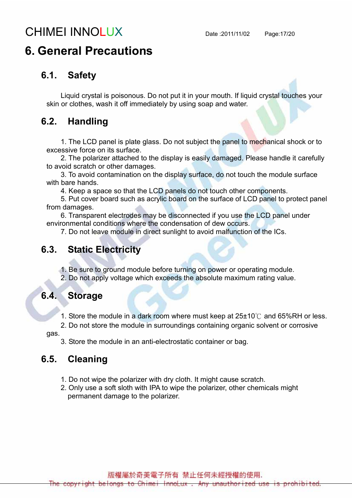# CHIMEI INNOLUX Date :2011/11/02 Page:17/20

### 6. General Precautions

#### 6.1. Safety

Liquid crystal is poisonous. Do not put it in your mouth. If liquid crystal touches your skin or clothes, wash it off immediately by using soap and water.

#### 6.2. Handling

1. The LCD panel is plate glass. Do not subject the panel to mechanical shock or to excessive force on its surface.

2. The polarizer attached to the display is easily damaged. Please handle it carefully to avoid scratch or other damages.

3. To avoid contamination on the display surface, do not touch the module surface with bare hands.

4. Keep a space so that the LCD panels do not touch other components.

5. Put cover board such as acrylic board on the surface of LCD panel to protect panel from damages.

6. Transparent electrodes may be disconnected if you use the LCD panel under environmental conditions where the condensation of dew occurs.

7. Do not leave module in direct sunlight to avoid malfunction of the ICs.

#### 6.3. Static Electricity

1. Be sure to ground module before turning on power or operating module.

2. Do not apply voltage which exceeds the absolute maximum rating value.

#### 6.4. Storage

1. Store the module in a dark room where must keep at 25±10℃ and 65%RH or less.

2. Do not store the module in surroundings containing organic solvent or corrosive

gas.

3. Store the module in an anti-electrostatic container or bag.

#### 6.5. Cleaning

- 1. Do not wipe the polarizer with dry cloth. It might cause scratch.
- 2. Only use a soft sloth with IPA to wipe the polarizer, other chemicals might permanent damage to the polarizer.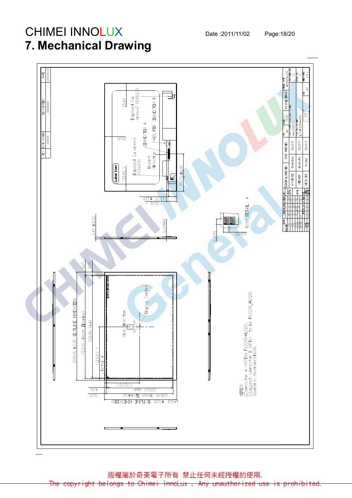# CHIMEI INNOLUX Date :2011/11/02 Page:18/20 7. Mechanical Drawing



版權屬於奇美電子所有 禁止任何未經授權的使用.

The copyright belongs to Chimei InnoLux unauthor ized use is prohibited. Any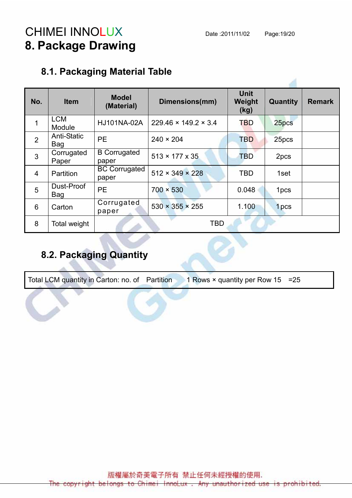# CHIMEI INNOLUX Date :2011/11/02 Page:19/20 8. Package Drawing

#### 8.1. Packaging Material Table

| No.            | <b>Item</b>               | <b>Model</b><br>(Material)    | Dimensions(mm)                   | <b>Unit</b><br>Weight<br>(kg) | Quantity         | <b>Remark</b> |
|----------------|---------------------------|-------------------------------|----------------------------------|-------------------------------|------------------|---------------|
| $\mathbf 1$    | <b>LCM</b><br>Module      | HJ101NA-02A                   | $229.46 \times 149.2 \times 3.4$ | <b>TBD</b>                    | 25pcs            |               |
| 2              | <b>Anti-Static</b><br>Bag | <b>PE</b>                     | $240 \times 204$                 | TBD                           | 25pcs            |               |
| $\mathbf{3}$   | Corrugated<br>Paper       | <b>B</b> Corrugated<br>paper  | $513 \times 177 \times 35$       | <b>TBD</b>                    | 2pcs             |               |
| $\overline{4}$ | <b>Partition</b>          | <b>BC Corrugated</b><br>paper | $512 \times 349 \times 228$      | <b>TBD</b>                    | 1set             |               |
| 5              | Dust-Proof<br>Bag         | <b>PE</b>                     | $700 \times 530$                 | 0.048                         | 1 <sub>pcs</sub> |               |
| 6              | Carton                    | Corrugated<br>paper           | $530 \times 355 \times 255$      | 1.100                         | 1 <sub>pcs</sub> |               |
| 8              | Total weight              |                               | <b>TBD</b>                       |                               |                  |               |

#### 8.2. Packaging Quantity

Total LCM quantity in Carton: no. of Partition 1 Rows  $\times$  quantity per Row 15 = 25